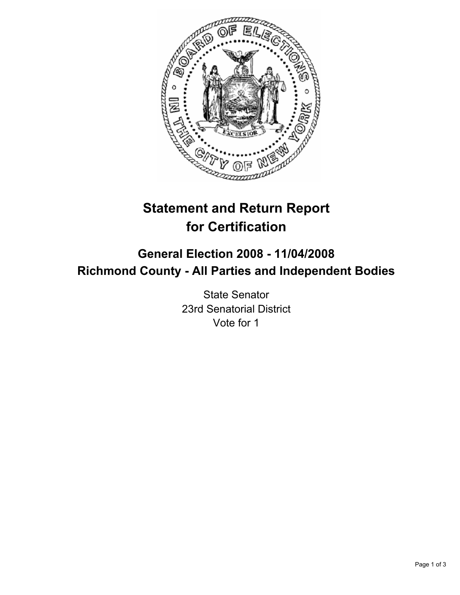

# **Statement and Return Report for Certification**

## **General Election 2008 - 11/04/2008 Richmond County - All Parties and Independent Bodies**

State Senator 23rd Senatorial District Vote for 1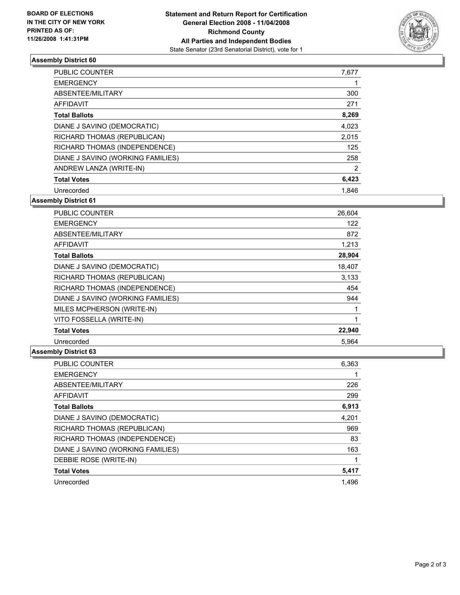

### **Assembly District 60**

| PUBLIC COUNTER                    | 7,677 |
|-----------------------------------|-------|
| <b>EMERGENCY</b>                  |       |
| ABSENTEE/MILITARY                 | 300   |
| AFFIDAVIT                         | 271   |
| <b>Total Ballots</b>              | 8,269 |
| DIANE J SAVINO (DEMOCRATIC)       | 4,023 |
| RICHARD THOMAS (REPUBLICAN)       | 2,015 |
| RICHARD THOMAS (INDEPENDENCE)     | 125   |
| DIANE J SAVINO (WORKING FAMILIES) | 258   |
| ANDREW LANZA (WRITE-IN)           |       |
| <b>Total Votes</b>                | 6,423 |
| Unrecorded                        | 1.846 |

**Assembly District 61**

| <b>PUBLIC COUNTER</b>             | 26,604 |
|-----------------------------------|--------|
| <b>EMERGENCY</b>                  | 122    |
| ABSENTEE/MILITARY                 | 872    |
| AFFIDAVIT                         | 1,213  |
| <b>Total Ballots</b>              | 28,904 |
| DIANE J SAVINO (DEMOCRATIC)       | 18,407 |
| RICHARD THOMAS (REPUBLICAN)       | 3,133  |
| RICHARD THOMAS (INDEPENDENCE)     | 454    |
| DIANE J SAVINO (WORKING FAMILIES) | 944    |
| MILES MCPHERSON (WRITE-IN)        |        |
| VITO FOSSELLA (WRITE-IN)          |        |
| <b>Total Votes</b>                | 22,940 |
| Unrecorded                        | 5.964  |

#### **Assembly District 63**

| 6,363 |
|-------|
|       |
| 226   |
| 299   |
| 6,913 |
| 4,201 |
| 969   |
| 83    |
| 163   |
|       |
| 5,417 |
| 1.496 |
|       |